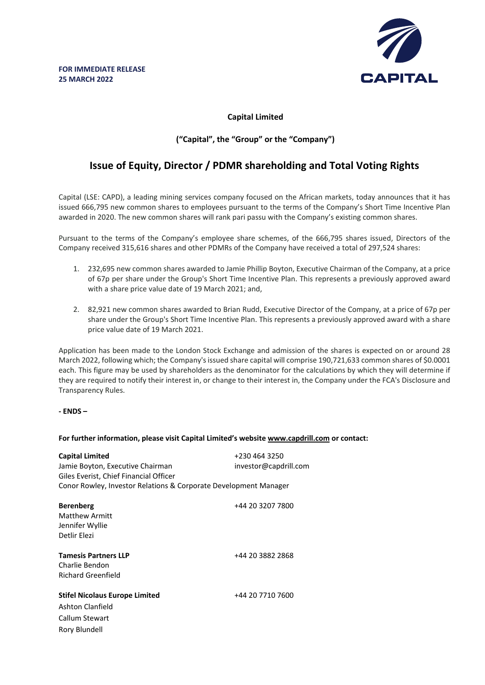

## **Capital Limited**

## **("Capital", the "Group" or the "Company")**

# **Issue of Equity, Director / PDMR shareholding and Total Voting Rights**

Capital (LSE: CAPD), a leading mining services company focused on the African markets, today announces that it has issued 666,795 new common shares to employees pursuant to the terms of the Company's Short Time Incentive Plan awarded in 2020. The new common shares will rank pari passu with the Company's existing common shares.

Pursuant to the terms of the Company's employee share schemes, of the 666,795 shares issued, Directors of the Company received 315,616 shares and other PDMRs of the Company have received a total of 297,524 shares:

- 1. 232,695 new common shares awarded to Jamie Phillip Boyton, Executive Chairman of the Company, at a price of 67p per share under the Group's Short Time Incentive Plan. This represents a previously approved award with a share price value date of 19 March 2021; and,
- 2. 82,921 new common shares awarded to Brian Rudd, Executive Director of the Company, at a price of 67p per share under the Group's Short Time Incentive Plan. This represents a previously approved award with a share price value date of 19 March 2021.

Application has been made to the London Stock Exchange and admission of the shares is expected on or around 28 March 2022, following which; the Company's issued share capital will comprise 190,721,633 common shares of \$0.0001 each. This figure may be used by shareholders as the denominator for the calculations by which they will determine if they are required to notify their interest in, or change to their interest in, the Company under the FCA's Disclosure and Transparency Rules.

#### **- ENDS –**

#### **For further information, please visit Capital Limited's website www.capdrill.com or contact:**

| <b>Capital Limited</b><br>Jamie Boyton, Executive Chairman<br>Giles Everist, Chief Financial Officer<br>Conor Rowley, Investor Relations & Corporate Development Manager | +230 464 3250<br>investor@capdrill.com |
|--------------------------------------------------------------------------------------------------------------------------------------------------------------------------|----------------------------------------|
| <b>Berenberg</b><br>Matthew Armitt<br>Jennifer Wyllie<br>Detlir Elezi                                                                                                    | +44 20 3207 7800                       |
| <b>Tamesis Partners LLP</b><br>Charlie Bendon<br>Richard Greenfield                                                                                                      | +44 20 3882 2868                       |
| <b>Stifel Nicolaus Europe Limited</b><br>Ashton Clanfield<br>Callum Stewart<br>Rory Blundell                                                                             | +44 20 7710 7600                       |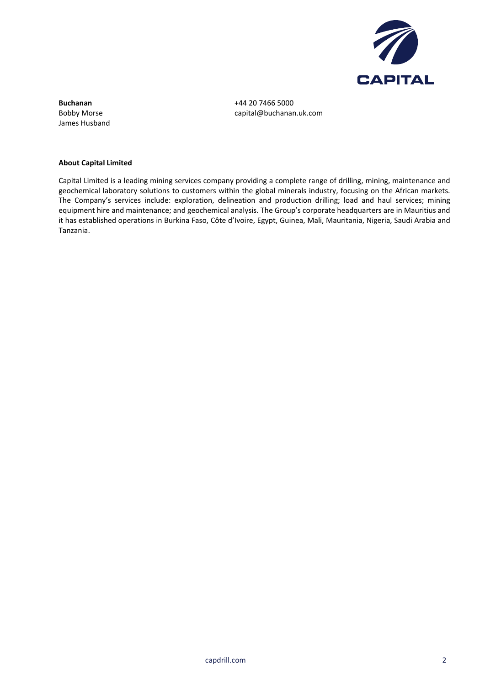

**Buchanan** +44 20 7466 5000 James Husband

Bobby Morse capital@buchanan.uk.com

#### **About Capital Limited**

Capital Limited is a leading mining services company providing a complete range of drilling, mining, maintenance and geochemical laboratory solutions to customers within the global minerals industry, focusing on the African markets. The Company's services include: exploration, delineation and production drilling; load and haul services; mining equipment hire and maintenance; and geochemical analysis. The Group's corporate headquarters are in Mauritius and it has established operations in Burkina Faso, Côte d'Ivoire, Egypt, Guinea, Mali, Mauritania, Nigeria, Saudi Arabia and Tanzania.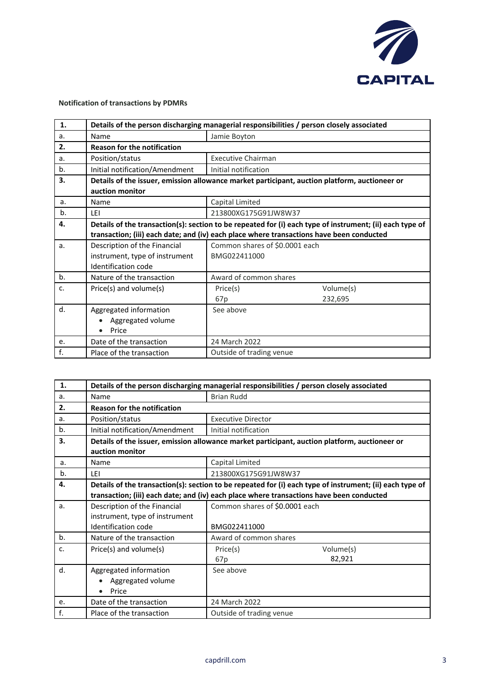

## **Notification of transactions by PDMRs**

| 1. | Details of the person discharging managerial responsibilities / person closely associated                |                                |           |
|----|----------------------------------------------------------------------------------------------------------|--------------------------------|-----------|
| a. | Name                                                                                                     | Jamie Boyton                   |           |
| 2. | <b>Reason for the notification</b>                                                                       |                                |           |
| a. | Position/status                                                                                          | <b>Executive Chairman</b>      |           |
| b. | Initial notification/Amendment                                                                           | Initial notification           |           |
| 3. | Details of the issuer, emission allowance market participant, auction platform, auctioneer or            |                                |           |
|    | auction monitor                                                                                          |                                |           |
| a. | Name                                                                                                     | Capital Limited                |           |
| b. | LEI                                                                                                      | 213800XG175G91JW8W37           |           |
| 4. | Details of the transaction(s): section to be repeated for (i) each type of instrument; (ii) each type of |                                |           |
|    | transaction; (iii) each date; and (iv) each place where transactions have been conducted                 |                                |           |
| a. | Description of the Financial                                                                             | Common shares of \$0.0001 each |           |
|    | instrument, type of instrument                                                                           | BMG022411000                   |           |
|    | Identification code                                                                                      |                                |           |
| b. | Nature of the transaction                                                                                | Award of common shares         |           |
| c. | Price(s) and volume(s)                                                                                   | Price(s)                       | Volume(s) |
|    |                                                                                                          | 67p                            | 232,695   |
| d. | Aggregated information                                                                                   | See above                      |           |
|    | Aggregated volume                                                                                        |                                |           |
|    | Price<br>$\bullet$                                                                                       |                                |           |
| e. | Date of the transaction                                                                                  | 24 March 2022                  |           |
| f. | Place of the transaction                                                                                 | Outside of trading venue       |           |

| 1. | Details of the person discharging managerial responsibilities / person closely associated                        |                                                                                          |
|----|------------------------------------------------------------------------------------------------------------------|------------------------------------------------------------------------------------------|
| a. | Name                                                                                                             | <b>Brian Rudd</b>                                                                        |
| 2. | <b>Reason for the notification</b>                                                                               |                                                                                          |
| a. | Position/status                                                                                                  | <b>Executive Director</b>                                                                |
| b. | Initial notification/Amendment                                                                                   | Initial notification                                                                     |
| 3. | Details of the issuer, emission allowance market participant, auction platform, auctioneer or<br>auction monitor |                                                                                          |
| a. | Name                                                                                                             | Capital Limited                                                                          |
| b. | LEI                                                                                                              | 213800XG175G91JW8W37                                                                     |
| 4. | Details of the transaction(s): section to be repeated for (i) each type of instrument; (ii) each type of         |                                                                                          |
|    |                                                                                                                  | transaction; (iii) each date; and (iv) each place where transactions have been conducted |
| a. | Description of the Financial                                                                                     | Common shares of \$0.0001 each                                                           |
|    | instrument, type of instrument                                                                                   |                                                                                          |
|    | <b>Identification code</b>                                                                                       | BMG022411000                                                                             |
| b. | Nature of the transaction                                                                                        | Award of common shares                                                                   |
| c. | Price(s) and volume(s)                                                                                           | Volume(s)<br>Price(s)                                                                    |
|    |                                                                                                                  | 82,921<br>67p                                                                            |
| d. | Aggregated information                                                                                           | See above                                                                                |
|    | Aggregated volume                                                                                                |                                                                                          |
|    | Price                                                                                                            |                                                                                          |
| e. | Date of the transaction                                                                                          | 24 March 2022                                                                            |
| f. | Place of the transaction                                                                                         | Outside of trading venue                                                                 |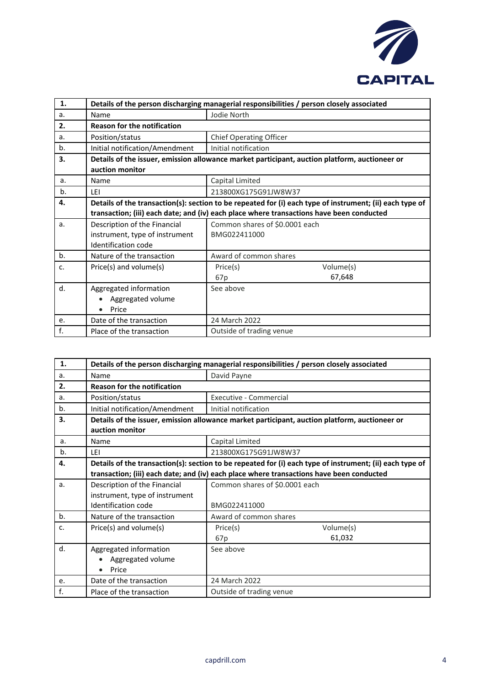

| 1. | Details of the person discharging managerial responsibilities / person closely associated                |                                                                                               |
|----|----------------------------------------------------------------------------------------------------------|-----------------------------------------------------------------------------------------------|
| a. | Name                                                                                                     | Jodie North                                                                                   |
| 2. | <b>Reason for the notification</b>                                                                       |                                                                                               |
| a. | Position/status                                                                                          | <b>Chief Operating Officer</b>                                                                |
| b. | Initial notification/Amendment                                                                           | Initial notification                                                                          |
| 3. |                                                                                                          | Details of the issuer, emission allowance market participant, auction platform, auctioneer or |
|    | auction monitor                                                                                          |                                                                                               |
| a. | Name                                                                                                     | Capital Limited                                                                               |
| b. | LEI                                                                                                      | 213800XG175G91JW8W37                                                                          |
| 4. | Details of the transaction(s): section to be repeated for (i) each type of instrument; (ii) each type of |                                                                                               |
|    |                                                                                                          | transaction; (iii) each date; and (iv) each place where transactions have been conducted      |
| a. | Description of the Financial                                                                             | Common shares of \$0.0001 each                                                                |
|    | instrument, type of instrument                                                                           | BMG022411000                                                                                  |
|    | Identification code                                                                                      |                                                                                               |
| b. | Nature of the transaction                                                                                | Award of common shares                                                                        |
| c. | Price(s) and volume(s)                                                                                   | Volume(s)<br>Price(s)                                                                         |
|    |                                                                                                          | 67,648<br>67 <sub>p</sub>                                                                     |
| d. | Aggregated information                                                                                   | See above                                                                                     |
|    | Aggregated volume                                                                                        |                                                                                               |
|    | Price                                                                                                    |                                                                                               |
| e. | Date of the transaction                                                                                  | 24 March 2022                                                                                 |
| f. | Place of the transaction                                                                                 | Outside of trading venue                                                                      |

| 1. | Details of the person discharging managerial responsibilities / person closely associated                        |                                                                                                                                                                                                      |
|----|------------------------------------------------------------------------------------------------------------------|------------------------------------------------------------------------------------------------------------------------------------------------------------------------------------------------------|
| a. | Name                                                                                                             | David Payne                                                                                                                                                                                          |
| 2. | <b>Reason for the notification</b>                                                                               |                                                                                                                                                                                                      |
| a. | Position/status                                                                                                  | Executive - Commercial                                                                                                                                                                               |
| b. | Initial notification/Amendment                                                                                   | Initial notification                                                                                                                                                                                 |
| 3. | Details of the issuer, emission allowance market participant, auction platform, auctioneer or<br>auction monitor |                                                                                                                                                                                                      |
| a. | Name                                                                                                             | Capital Limited                                                                                                                                                                                      |
| b. | LEI                                                                                                              | 213800XG175G91JW8W37                                                                                                                                                                                 |
| 4. |                                                                                                                  | Details of the transaction(s): section to be repeated for (i) each type of instrument; (ii) each type of<br>transaction; (iii) each date; and (iv) each place where transactions have been conducted |
| a. | Description of the Financial<br>instrument, type of instrument<br>Identification code                            | Common shares of \$0.0001 each<br>BMG022411000                                                                                                                                                       |
| b. | Nature of the transaction                                                                                        | Award of common shares                                                                                                                                                                               |
| c. | Price(s) and volume(s)                                                                                           | Volume(s)<br>Price(s)<br>61,032<br>67p                                                                                                                                                               |
| d. | Aggregated information<br>Aggregated volume<br>Price                                                             | See above                                                                                                                                                                                            |
| e. | Date of the transaction                                                                                          | 24 March 2022                                                                                                                                                                                        |
| f. | Place of the transaction                                                                                         | Outside of trading venue                                                                                                                                                                             |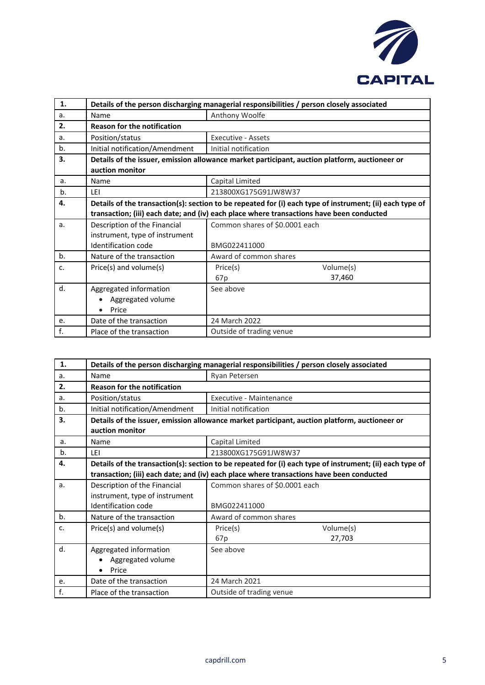

| 1. | Details of the person discharging managerial responsibilities / person closely associated                                                                                                            |                                |
|----|------------------------------------------------------------------------------------------------------------------------------------------------------------------------------------------------------|--------------------------------|
| a. | Name                                                                                                                                                                                                 | Anthony Woolfe                 |
| 2. | <b>Reason for the notification</b>                                                                                                                                                                   |                                |
| a. | Position/status                                                                                                                                                                                      | <b>Executive - Assets</b>      |
| b. | Initial notification/Amendment                                                                                                                                                                       | Initial notification           |
| 3. | Details of the issuer, emission allowance market participant, auction platform, auctioneer or<br>auction monitor                                                                                     |                                |
| a. | Name                                                                                                                                                                                                 | Capital Limited                |
| b. | LEI                                                                                                                                                                                                  | 213800XG175G91JW8W37           |
| 4. | Details of the transaction(s): section to be repeated for (i) each type of instrument; (ii) each type of<br>transaction; (iii) each date; and (iv) each place where transactions have been conducted |                                |
| a. | Description of the Financial                                                                                                                                                                         | Common shares of \$0.0001 each |
|    | instrument, type of instrument                                                                                                                                                                       |                                |
|    | <b>Identification code</b>                                                                                                                                                                           | BMG022411000                   |
| b. | Nature of the transaction                                                                                                                                                                            | Award of common shares         |
| c. | Price(s) and volume(s)                                                                                                                                                                               | Volume(s)<br>Price(s)          |
|    |                                                                                                                                                                                                      | 37,460<br>67p                  |
| d. | Aggregated information<br>Aggregated volume<br>Price                                                                                                                                                 | See above                      |
| e. | Date of the transaction                                                                                                                                                                              | 24 March 2022                  |
| f. | Place of the transaction                                                                                                                                                                             | Outside of trading venue       |

| 1.    | Details of the person discharging managerial responsibilities / person closely associated                        |                                                                                          |
|-------|------------------------------------------------------------------------------------------------------------------|------------------------------------------------------------------------------------------|
| a.    | Name                                                                                                             | Ryan Petersen                                                                            |
| 2.    | <b>Reason for the notification</b>                                                                               |                                                                                          |
| a.    | Position/status                                                                                                  | Executive - Maintenance                                                                  |
| b.    | Initial notification/Amendment                                                                                   | Initial notification                                                                     |
| 3.    | Details of the issuer, emission allowance market participant, auction platform, auctioneer or<br>auction monitor |                                                                                          |
| a.    | Name                                                                                                             | Capital Limited                                                                          |
| b.    | <b>IFI</b>                                                                                                       | 213800XG175G91JW8W37                                                                     |
| 4.    | Details of the transaction(s): section to be repeated for (i) each type of instrument; (ii) each type of         |                                                                                          |
|       |                                                                                                                  | transaction; (iii) each date; and (iv) each place where transactions have been conducted |
| a.    | Description of the Financial                                                                                     | Common shares of \$0.0001 each                                                           |
|       | instrument, type of instrument                                                                                   |                                                                                          |
|       | Identification code                                                                                              | BMG022411000                                                                             |
| $b$ . | Nature of the transaction                                                                                        | Award of common shares                                                                   |
| c.    | Price(s) and volume(s)                                                                                           | Volume(s)<br>Price(s)                                                                    |
|       |                                                                                                                  | 27,703<br>67p                                                                            |
| d.    | Aggregated information                                                                                           | See above                                                                                |
|       | Aggregated volume                                                                                                |                                                                                          |
|       | Price<br>$\bullet$                                                                                               |                                                                                          |
| e.    | Date of the transaction                                                                                          | 24 March 2021                                                                            |
| f.    | Place of the transaction                                                                                         | Outside of trading venue                                                                 |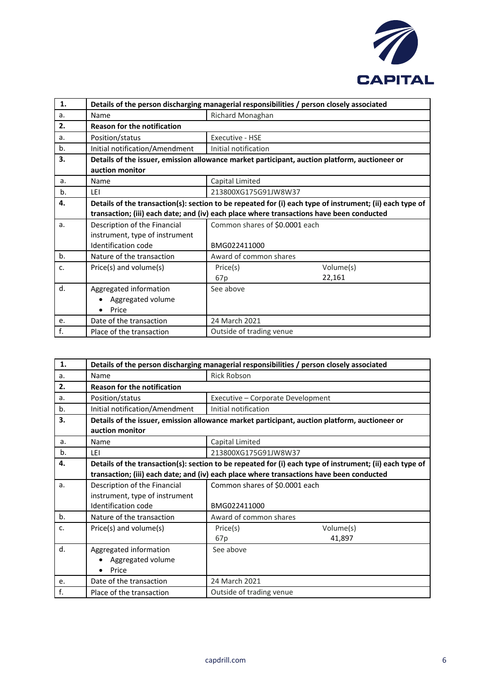

| 1. | Details of the person discharging managerial responsibilities / person closely associated                        |                                                                                          |           |
|----|------------------------------------------------------------------------------------------------------------------|------------------------------------------------------------------------------------------|-----------|
| a. | Name                                                                                                             | Richard Monaghan                                                                         |           |
| 2. | <b>Reason for the notification</b>                                                                               |                                                                                          |           |
| a. | Position/status                                                                                                  | Executive - HSE                                                                          |           |
| b. | Initial notification/Amendment                                                                                   | Initial notification                                                                     |           |
| 3. | Details of the issuer, emission allowance market participant, auction platform, auctioneer or<br>auction monitor |                                                                                          |           |
| a. | Name                                                                                                             | Capital Limited                                                                          |           |
| b. | LEI                                                                                                              | 213800XG175G91JW8W37                                                                     |           |
| 4. | Details of the transaction(s): section to be repeated for (i) each type of instrument; (ii) each type of         |                                                                                          |           |
|    |                                                                                                                  | transaction; (iii) each date; and (iv) each place where transactions have been conducted |           |
| a. | Description of the Financial                                                                                     | Common shares of \$0.0001 each                                                           |           |
|    | instrument, type of instrument                                                                                   |                                                                                          |           |
|    | <b>Identification code</b>                                                                                       | BMG022411000                                                                             |           |
| b. | Nature of the transaction                                                                                        | Award of common shares                                                                   |           |
| c. | Price(s) and volume(s)                                                                                           | Price(s)                                                                                 | Volume(s) |
|    |                                                                                                                  | 67p                                                                                      | 22,161    |
| d. | Aggregated information                                                                                           | See above                                                                                |           |
|    | Aggregated volume                                                                                                |                                                                                          |           |
|    | Price                                                                                                            |                                                                                          |           |
| e. | Date of the transaction                                                                                          | 24 March 2021                                                                            |           |
| f. | Place of the transaction                                                                                         | Outside of trading venue                                                                 |           |

| 1. | Details of the person discharging managerial responsibilities / person closely associated                        |                                                                                          |
|----|------------------------------------------------------------------------------------------------------------------|------------------------------------------------------------------------------------------|
|    |                                                                                                                  |                                                                                          |
| a. | Name                                                                                                             | <b>Rick Robson</b>                                                                       |
| 2. | <b>Reason for the notification</b>                                                                               |                                                                                          |
| a. | Position/status                                                                                                  | Executive - Corporate Development                                                        |
| b. | Initial notification/Amendment                                                                                   | Initial notification                                                                     |
| 3. | Details of the issuer, emission allowance market participant, auction platform, auctioneer or<br>auction monitor |                                                                                          |
| a. | Name                                                                                                             | Capital Limited                                                                          |
| b. | LEI                                                                                                              | 213800XG175G91JW8W37                                                                     |
| 4. | Details of the transaction(s): section to be repeated for (i) each type of instrument; (ii) each type of         |                                                                                          |
|    |                                                                                                                  | transaction; (iii) each date; and (iv) each place where transactions have been conducted |
| a. | Description of the Financial                                                                                     | Common shares of \$0.0001 each                                                           |
|    | instrument, type of instrument                                                                                   |                                                                                          |
|    | Identification code                                                                                              | BMG022411000                                                                             |
| b. | Nature of the transaction                                                                                        | Award of common shares                                                                   |
| c. | Price(s) and volume(s)                                                                                           | Volume(s)<br>Price(s)                                                                    |
|    |                                                                                                                  | 41,897<br>67 <sub>p</sub>                                                                |
| d. | Aggregated information                                                                                           | See above                                                                                |
|    | Aggregated volume                                                                                                |                                                                                          |
|    | Price<br>$\bullet$                                                                                               |                                                                                          |
| e. | Date of the transaction                                                                                          | 24 March 2021                                                                            |
| f. | Place of the transaction                                                                                         | Outside of trading venue                                                                 |